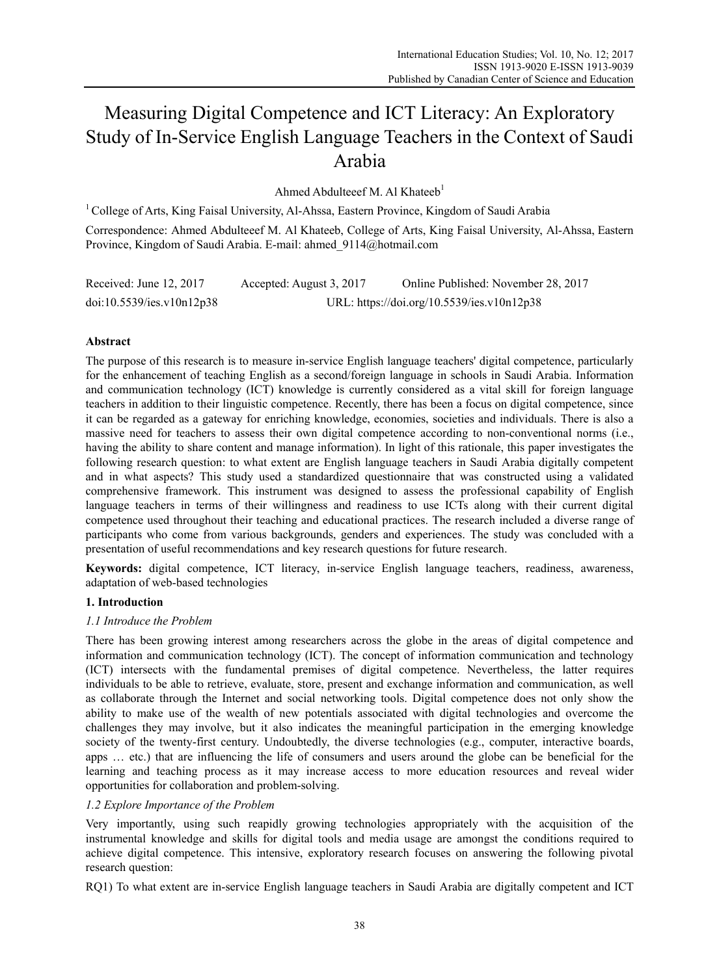# Measuring Digital Competence and ICT Literacy: An Exploratory Study of In-Service English Language Teachers in the Context of Saudi Arabia

Ahmed Abdulteeef M. Al Khateeb<sup>1</sup>

<sup>1</sup> College of Arts, King Faisal University, Al-Ahssa, Eastern Province, Kingdom of Saudi Arabia Correspondence: Ahmed Abdulteeef M. Al Khateeb, College of Arts, King Faisal University, Al-Ahssa, Eastern Province, Kingdom of Saudi Arabia. E-mail: ahmed\_9114@hotmail.com

| Received: June 12, 2017   | Accepted: August 3, 2017 | Online Published: November 28, 2017        |
|---------------------------|--------------------------|--------------------------------------------|
| doi:10.5539/ies.v10n12p38 |                          | URL: https://doi.org/10.5539/ies.v10n12p38 |

## **Abstract**

The purpose of this research is to measure in-service English language teachers' digital competence, particularly for the enhancement of teaching English as a second/foreign language in schools in Saudi Arabia. Information and communication technology (ICT) knowledge is currently considered as a vital skill for foreign language teachers in addition to their linguistic competence. Recently, there has been a focus on digital competence, since it can be regarded as a gateway for enriching knowledge, economies, societies and individuals. There is also a massive need for teachers to assess their own digital competence according to non-conventional norms (i.e., having the ability to share content and manage information). In light of this rationale, this paper investigates the following research question: to what extent are English language teachers in Saudi Arabia digitally competent and in what aspects? This study used a standardized questionnaire that was constructed using a validated comprehensive framework. This instrument was designed to assess the professional capability of English language teachers in terms of their willingness and readiness to use ICTs along with their current digital competence used throughout their teaching and educational practices. The research included a diverse range of participants who come from various backgrounds, genders and experiences. The study was concluded with a presentation of useful recommendations and key research questions for future research.

**Keywords:** digital competence, ICT literacy, in-service English language teachers, readiness, awareness, adaptation of web-based technologies

## **1. Introduction**

## *1.1 Introduce the Problem*

There has been growing interest among researchers across the globe in the areas of digital competence and information and communication technology (ICT). The concept of information communication and technology (ICT) intersects with the fundamental premises of digital competence. Nevertheless, the latter requires individuals to be able to retrieve, evaluate, store, present and exchange information and communication, as well as collaborate through the Internet and social networking tools. Digital competence does not only show the ability to make use of the wealth of new potentials associated with digital technologies and overcome the challenges they may involve, but it also indicates the meaningful participation in the emerging knowledge society of the twenty-first century. Undoubtedly, the diverse technologies (e.g., computer, interactive boards, apps … etc.) that are influencing the life of consumers and users around the globe can be beneficial for the learning and teaching process as it may increase access to more education resources and reveal wider opportunities for collaboration and problem-solving.

## *1.2 Explore Importance of the Problem*

Very importantly, using such reapidly growing technologies appropriately with the acquisition of the instrumental knowledge and skills for digital tools and media usage are amongst the conditions required to achieve digital competence. This intensive, exploratory research focuses on answering the following pivotal research question:

RQ1) To what extent are in-service English language teachers in Saudi Arabia are digitally competent and ICT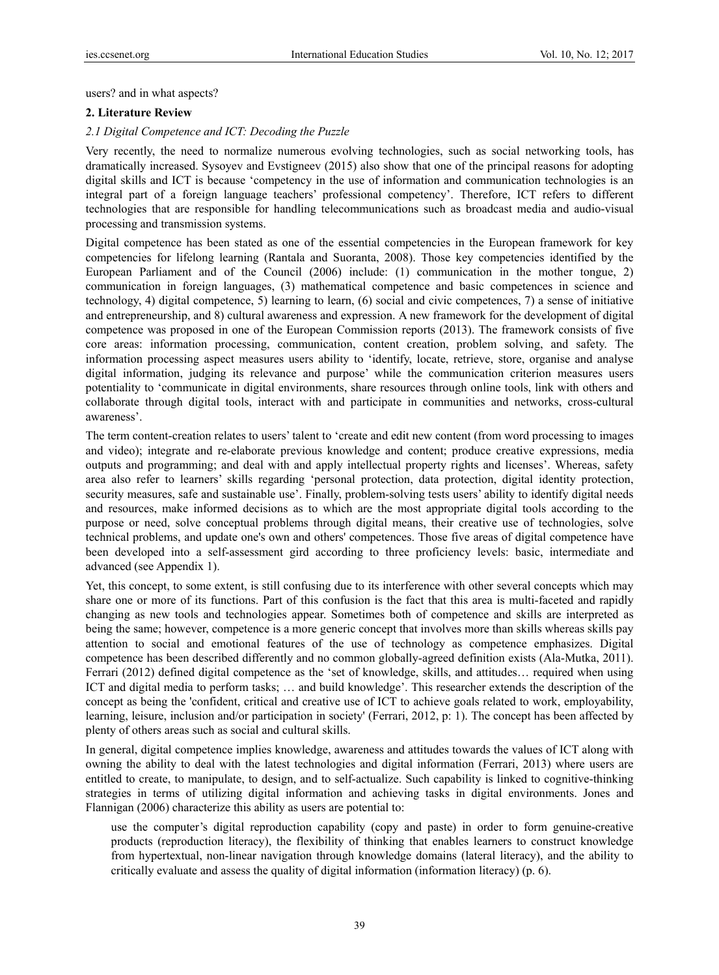users? and in what aspects?

## **2. Literature Review**

## *2.1 Digital Competence and ICT: Decoding the Puzzle*

Very recently, the need to normalize numerous evolving technologies, such as social networking tools, has dramatically increased. Sysoyev and Evstigneev (2015) also show that one of the principal reasons for adopting digital skills and ICT is because 'competency in the use of information and communication technologies is an integral part of a foreign language teachers' professional competency'. Therefore, ICT refers to different technologies that are responsible for handling telecommunications such as broadcast media and audio-visual processing and transmission systems.

Digital competence has been stated as one of the essential competencies in the European framework for key competencies for lifelong learning (Rantala and Suoranta, 2008). Those key competencies identified by the European Parliament and of the Council (2006) include: (1) communication in the mother tongue, 2) communication in foreign languages, (3) mathematical competence and basic competences in science and technology, 4) digital competence, 5) learning to learn, (6) social and civic competences, 7) a sense of initiative and entrepreneurship, and 8) cultural awareness and expression. A new framework for the development of digital competence was proposed in one of the European Commission reports (2013). The framework consists of five core areas: information processing, communication, content creation, problem solving, and safety. The information processing aspect measures users ability to 'identify, locate, retrieve, store, organise and analyse digital information, judging its relevance and purpose' while the communication criterion measures users potentiality to 'communicate in digital environments, share resources through online tools, link with others and collaborate through digital tools, interact with and participate in communities and networks, cross-cultural awareness'.

The term content-creation relates to users' talent to 'create and edit new content (from word processing to images and video); integrate and re-elaborate previous knowledge and content; produce creative expressions, media outputs and programming; and deal with and apply intellectual property rights and licenses'. Whereas, safety area also refer to learners' skills regarding 'personal protection, data protection, digital identity protection, security measures, safe and sustainable use'. Finally, problem-solving tests users' ability to identify digital needs and resources, make informed decisions as to which are the most appropriate digital tools according to the purpose or need, solve conceptual problems through digital means, their creative use of technologies, solve technical problems, and update one's own and others' competences. Those five areas of digital competence have been developed into a self-assessment gird according to three proficiency levels: basic, intermediate and advanced (see Appendix 1).

Yet, this concept, to some extent, is still confusing due to its interference with other several concepts which may share one or more of its functions. Part of this confusion is the fact that this area is multi-faceted and rapidly changing as new tools and technologies appear. Sometimes both of competence and skills are interpreted as being the same; however, competence is a more generic concept that involves more than skills whereas skills pay attention to social and emotional features of the use of technology as competence emphasizes. Digital competence has been described differently and no common globally-agreed definition exists (Ala-Mutka, 2011). Ferrari (2012) defined digital competence as the 'set of knowledge, skills, and attitudes… required when using ICT and digital media to perform tasks; … and build knowledge'. This researcher extends the description of the concept as being the 'confident, critical and creative use of ICT to achieve goals related to work, employability, learning, leisure, inclusion and/or participation in society' (Ferrari, 2012, p: 1). The concept has been affected by plenty of others areas such as social and cultural skills.

In general, digital competence implies knowledge, awareness and attitudes towards the values of ICT along with owning the ability to deal with the latest technologies and digital information (Ferrari, 2013) where users are entitled to create, to manipulate, to design, and to self-actualize. Such capability is linked to cognitive-thinking strategies in terms of utilizing digital information and achieving tasks in digital environments. Jones and Flannigan (2006) characterize this ability as users are potential to:

use the computer's digital reproduction capability (copy and paste) in order to form genuine-creative products (reproduction literacy), the flexibility of thinking that enables learners to construct knowledge from hypertextual, non-linear navigation through knowledge domains (lateral literacy), and the ability to critically evaluate and assess the quality of digital information (information literacy) (p. 6).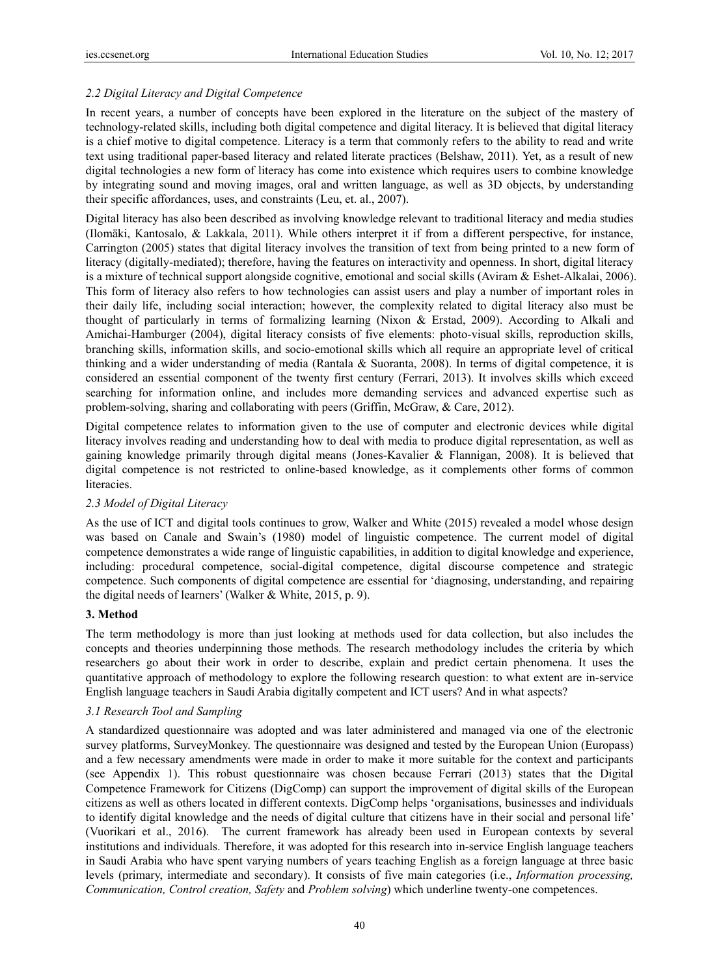## *2.2 Digital Literacy and Digital Competence*

In recent years, a number of concepts have been explored in the literature on the subject of the mastery of technology-related skills, including both digital competence and digital literacy. It is believed that digital literacy is a chief motive to digital competence. Literacy is a term that commonly refers to the ability to read and write text using traditional paper-based literacy and related literate practices (Belshaw, 2011). Yet, as a result of new digital technologies a new form of literacy has come into existence which requires users to combine knowledge by integrating sound and moving images, oral and written language, as well as 3D objects, by understanding their specific affordances, uses, and constraints (Leu, et. al., 2007).

Digital literacy has also been described as involving knowledge relevant to traditional literacy and media studies (Ilomäki, Kantosalo, & Lakkala, 2011). While others interpret it if from a different perspective, for instance, Carrington (2005) states that digital literacy involves the transition of text from being printed to a new form of literacy (digitally-mediated); therefore, having the features on interactivity and openness. In short, digital literacy is a mixture of technical support alongside cognitive, emotional and social skills (Aviram & Eshet-Alkalai, 2006). This form of literacy also refers to how technologies can assist users and play a number of important roles in their daily life, including social interaction; however, the complexity related to digital literacy also must be thought of particularly in terms of formalizing learning (Nixon & Erstad, 2009). According to Alkali and Amichai-Hamburger (2004), digital literacy consists of five elements: photo-visual skills, reproduction skills, branching skills, information skills, and socio-emotional skills which all require an appropriate level of critical thinking and a wider understanding of media (Rantala & Suoranta, 2008). In terms of digital competence, it is considered an essential component of the twenty first century (Ferrari, 2013). It involves skills which exceed searching for information online, and includes more demanding services and advanced expertise such as problem-solving, sharing and collaborating with peers (Griffin, McGraw, & Care, 2012).

Digital competence relates to information given to the use of computer and electronic devices while digital literacy involves reading and understanding how to deal with media to produce digital representation, as well as gaining knowledge primarily through digital means (Jones-Kavalier & Flannigan, 2008). It is believed that digital competence is not restricted to online-based knowledge, as it complements other forms of common literacies.

## *2.3 Model of Digital Literacy*

As the use of ICT and digital tools continues to grow, Walker and White (2015) revealed a model whose design was based on Canale and Swain's (1980) model of linguistic competence. The current model of digital competence demonstrates a wide range of linguistic capabilities, in addition to digital knowledge and experience, including: procedural competence, social-digital competence, digital discourse competence and strategic competence. Such components of digital competence are essential for 'diagnosing, understanding, and repairing the digital needs of learners' (Walker & White, 2015, p. 9).

## **3. Method**

The term methodology is more than just looking at methods used for data collection, but also includes the concepts and theories underpinning those methods. The research methodology includes the criteria by which researchers go about their work in order to describe, explain and predict certain phenomena. It uses the quantitative approach of methodology to explore the following research question: to what extent are in-service English language teachers in Saudi Arabia digitally competent and ICT users? And in what aspects?

## *3.1 Research Tool and Sampling*

A standardized questionnaire was adopted and was later administered and managed via one of the electronic survey platforms, SurveyMonkey. The questionnaire was designed and tested by the European Union (Europass) and a few necessary amendments were made in order to make it more suitable for the context and participants (see Appendix 1). This robust questionnaire was chosen because Ferrari (2013) states that the Digital Competence Framework for Citizens (DigComp) can support the improvement of digital skills of the European citizens as well as others located in different contexts. DigComp helps 'organisations, businesses and individuals to identify digital knowledge and the needs of digital culture that citizens have in their social and personal life' (Vuorikari et al., 2016). The current framework has already been used in European contexts by several institutions and individuals. Therefore, it was adopted for this research into in-service English language teachers in Saudi Arabia who have spent varying numbers of years teaching English as a foreign language at three basic levels (primary, intermediate and secondary). It consists of five main categories (i.e., *Information processing, Communication, Control creation, Safety* and *Problem solving*) which underline twenty-one competences.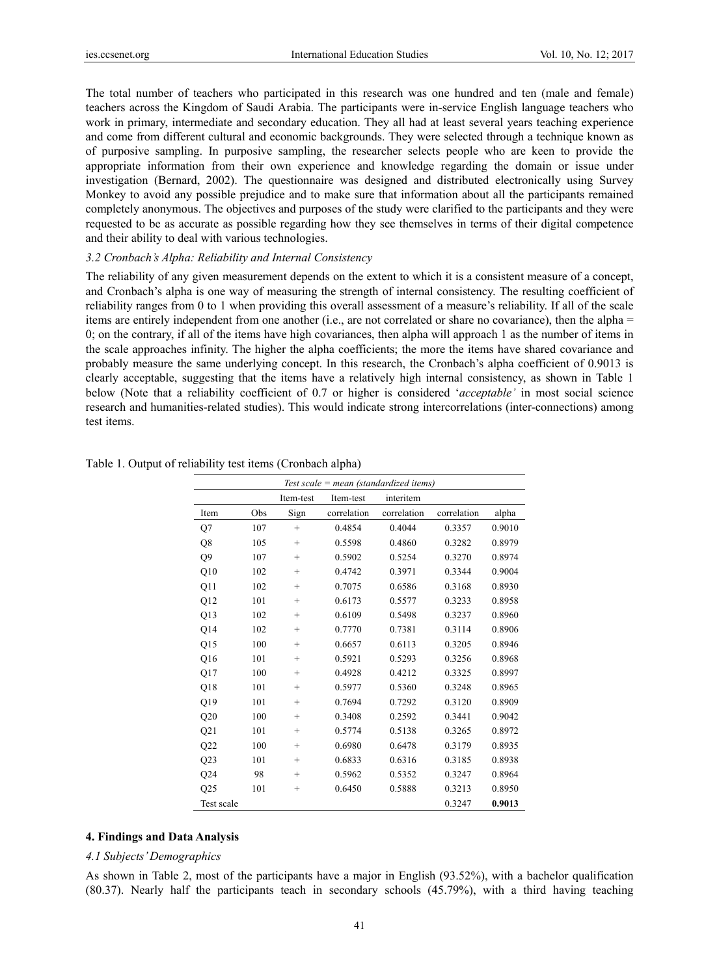The total number of teachers who participated in this research was one hundred and ten (male and female) teachers across the Kingdom of Saudi Arabia. The participants were in-service English language teachers who work in primary, intermediate and secondary education. They all had at least several years teaching experience and come from different cultural and economic backgrounds. They were selected through a technique known as of purposive sampling. In purposive sampling, the researcher selects people who are keen to provide the appropriate information from their own experience and knowledge regarding the domain or issue under investigation (Bernard, 2002). The questionnaire was designed and distributed electronically using Survey Monkey to avoid any possible prejudice and to make sure that information about all the participants remained completely anonymous. The objectives and purposes of the study were clarified to the participants and they were requested to be as accurate as possible regarding how they see themselves in terms of their digital competence and their ability to deal with various technologies.

#### *3.2 Cronbach's Alpha: Reliability and Internal Consistency*

The reliability of any given measurement depends on the extent to which it is a consistent measure of a concept, and Cronbach's alpha is one way of measuring the strength of internal consistency. The resulting coefficient of reliability ranges from 0 to 1 when providing this overall assessment of a measure's reliability. If all of the scale items are entirely independent from one another (i.e., are not correlated or share no covariance), then the alpha  $=$ 0; on the contrary, if all of the items have high covariances, then alpha will approach 1 as the number of items in the scale approaches infinity. The higher the alpha coefficients; the more the items have shared covariance and probably measure the same underlying concept. In this research, the Cronbach's alpha coefficient of 0.9013 is clearly acceptable, suggesting that the items have a relatively high internal consistency, as shown in Table 1 below (Note that a reliability coefficient of 0.7 or higher is considered '*acceptable'* in most social science research and humanities-related studies). This would indicate strong intercorrelations (inter-connections) among test items.

|      |     |                 | Test scale = $mean$ (standardized items) |             |             |        |
|------|-----|-----------------|------------------------------------------|-------------|-------------|--------|
|      |     | Item-test       | Item-test                                | interitem   |             |        |
| Item | Obs | Sign            | correlation                              | correlation | correlation | alpha  |
| Q7   | 107 | $^{+}$          | 0.4854                                   | 0.4044      | 0.3357      | 0.9010 |
| Q8   | 105 | $^{+}$          | 0.5598                                   | 0.4860      | 0.3282      | 0.8979 |
| Q9   | 107 | $^{+}$          | 0.5902                                   | 0.5254      | 0.3270      | 0.8974 |
| Q10  | 102 | $^{+}$          | 0.4742                                   | 0.3971      | 0.3344      | 0.9004 |
| Q11  | 102 | $^{+}$          | 0.7075                                   | 0.6586      | 0.3168      | 0.8930 |
| Q12  | 101 | $^{+}$          | 0.6173                                   | 0.5577      | 0.3233      | 0.8958 |
| Q13  | 102 | $^{+}$          | 0.6109                                   | 0.5498      | 0.3237      | 0.8960 |
| Q14  | 102 | $^{+}$          | 0.7770                                   | 0.7381      | 0.3114      | 0.8906 |
| Q15  | 100 | $^{+}$          | 0.6657                                   | 0.6113      | 0.3205      | 0.8946 |
| Q16  | 101 | $^{+}$          | 0.5921                                   | 0.5293      | 0.3256      | 0.8968 |
| Q17  | 100 | $^{+}$          | 0.4928                                   | 0.4212      | 0.3325      | 0.8997 |
| Q18  | 101 | $^{+}$          | 0.5977                                   | 0.5360      | 0.3248      | 0.8965 |
| Q19  | 101 | $^{+}$          | 0.7694                                   | 0.7292      | 0.3120      | 0.8909 |
| Q20  | 100 | $\! + \!\!\!\!$ | 0.3408                                   | 0.2592      | 0.3441      | 0.9042 |
| Q21  | 101 | $\! + \!\!\!\!$ | 0.5774                                   | 0.5138      | 0.3265      | 0.8972 |
| Q22  | 100 | $^{+}$          | 0.6980                                   | 0.6478      | 0.3179      | 0.8935 |
| Q23  | 101 | $^{+}$          | 0.6833                                   | 0.6316      | 0.3185      | 0.8938 |
| Q24  | 98  | $^{+}$          | 0.5962                                   | 0.5352      | 0.3247      | 0.8964 |

#### Table 1. Output of reliability test items (Cronbach alpha)

#### **4. Findings and Data Analysis**

#### *4.1 Subjects' Demographics*

As shown in Table 2, most of the participants have a major in English (93.52%), with a bachelor qualification (80.37). Nearly half the participants teach in secondary schools (45.79%), with a third having teaching

Q25 101 + 0.6450 0.5888 0.3213 0.8950 Test scale 0.3247 **0.9013**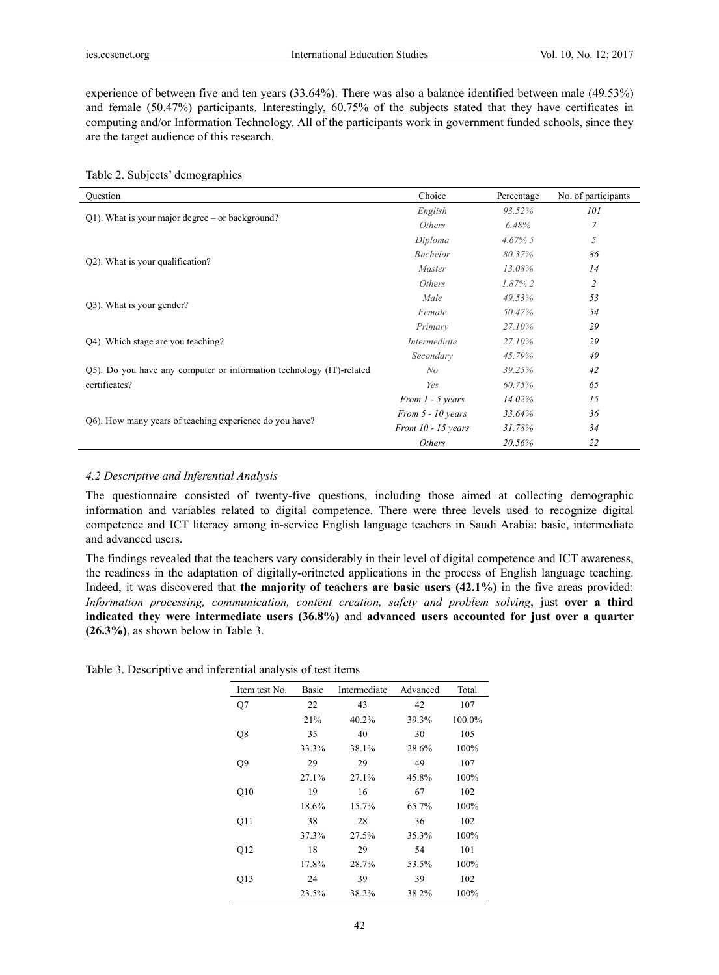experience of between five and ten years (33.64%). There was also a balance identified between male (49.53%) and female (50.47%) participants. Interestingly, 60.75% of the subjects stated that they have certificates in computing and/or Information Technology. All of the participants work in government funded schools, since they are the target audience of this research.

|  |  | Table 2. Subjects' demographics |
|--|--|---------------------------------|
|--|--|---------------------------------|

| Ouestion                                                             | Choice               | Percentage | No. of participants |
|----------------------------------------------------------------------|----------------------|------------|---------------------|
|                                                                      | English              | 93.52%     | 101                 |
| $Q1$ ). What is your major degree – or background?                   | Others               | 6.48%      | $\overline{7}$      |
|                                                                      | Diploma              | $4.67\%$ 5 | 5                   |
| Q2). What is your qualification?                                     | <b>Bachelor</b>      | 80.37%     | 86                  |
|                                                                      | Master               | 13.08%     | 14                  |
|                                                                      | Others               | $1.87\%$ 2 | $\overline{c}$      |
|                                                                      | Male                 | 49.53%     | 53                  |
| Q3). What is your gender?                                            | Female               | 50.47%     | 54                  |
|                                                                      | Primary              | 27.10%     | 29                  |
| Q4). Which stage are you teaching?                                   | Intermediate         | 27.10%     | 29                  |
|                                                                      | Secondary            | 45.79%     | 49                  |
| Q5). Do you have any computer or information technology (IT)-related | No                   | 39.25%     | 42                  |
| certificates?                                                        | Yes                  | 60.75%     | 65                  |
|                                                                      | From 1 - 5 years     | 14.02%     | 15                  |
|                                                                      | From $5 - 10$ years  | 33.64%     | 36                  |
| Q6). How many years of teaching experience do you have?              | From $10 - 15$ years | 31.78%     | 34                  |
|                                                                      | Others               | 20.56%     | 22                  |

#### *4.2 Descriptive and Inferential Analysis*

The questionnaire consisted of twenty-five questions, including those aimed at collecting demographic information and variables related to digital competence. There were three levels used to recognize digital competence and ICT literacy among in-service English language teachers in Saudi Arabia: basic, intermediate and advanced users.

The findings revealed that the teachers vary considerably in their level of digital competence and ICT awareness, the readiness in the adaptation of digitally-oritneted applications in the process of English language teaching. Indeed, it was discovered that **the majority of teachers are basic users (42.1%)** in the five areas provided: *Information processing, communication, content creation, safety and problem solving*, just **over a third indicated they were intermediate users (36.8%)** and **advanced users accounted for just over a quarter (26.3%)**, as shown below in Table 3.

Table 3. Descriptive and inferential analysis of test items

| Item test No.   | Basic | Intermediate | Advanced | Total  |
|-----------------|-------|--------------|----------|--------|
| Q7              | 22    | 43           | 42       | 107    |
|                 | 21%   | 40.2%        | 39.3%    | 100.0% |
| Q8              | 35    | 40           | 30       | 105    |
|                 | 33.3% | 38.1%        | 28.6%    | 100%   |
| Q9              | 29    | 29           | 49       | 107    |
|                 | 27.1% | 27.1%        | 45.8%    | 100%   |
| Q10             | 19    | 16           | 67       | 102    |
|                 | 18.6% | 15.7%        | 65.7%    | 100%   |
| 011             | 38    | 28           | 36       | 102    |
|                 | 37.3% | 27.5%        | 35.3%    | 100%   |
| O <sub>12</sub> | 18    | 29           | 54       | 101    |
|                 | 17.8% | 28.7%        | 53.5%    | 100%   |
| O13             | 24    | 39           | 39       | 102    |
|                 | 23.5% | 38.2%        | 38.2%    | 100%   |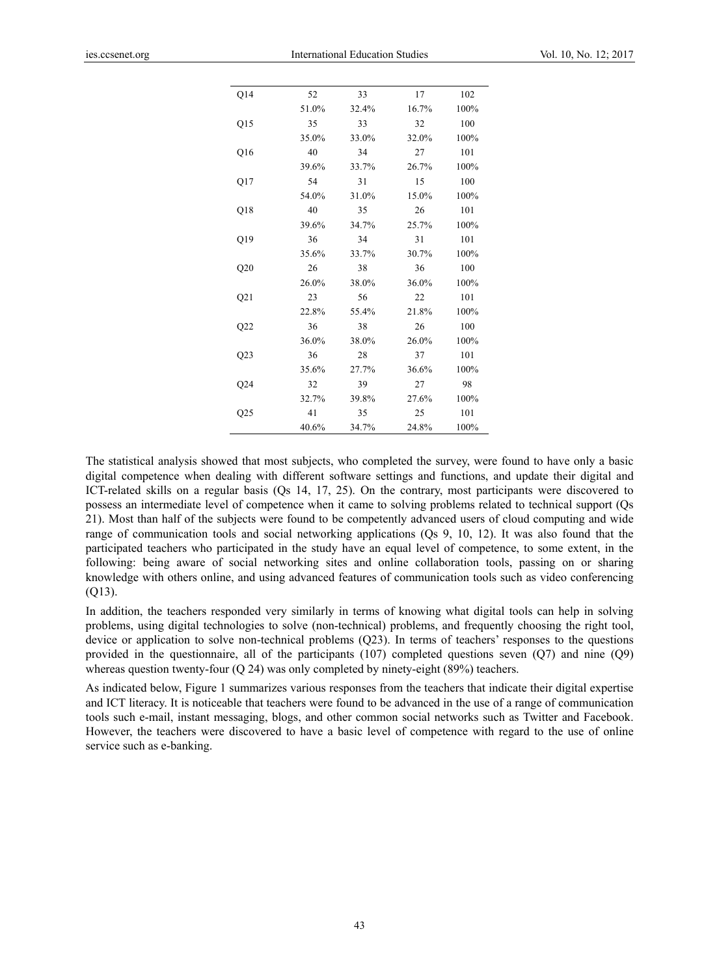| Q14          | 52    | 33    | 17    | 102  |
|--------------|-------|-------|-------|------|
|              | 51.0% | 32.4% | 16.7% | 100% |
| Q15          | 35    | 33    | 32    | 100  |
|              | 35.0% | 33.0% | 32.0% | 100% |
| Q16          | 40    | 34    | 27    | 101  |
|              | 39.6% | 33.7% | 26.7% | 100% |
| Q17          | 54    | 31    | 15    | 100  |
|              | 54.0% | 31.0% | 15.0% | 100% |
| Q18          | 40    | 35    | 26    | 101  |
|              | 39.6% | 34.7% | 25.7% | 100% |
| Q19          | 36    | 34    | 31    | 101  |
|              | 35.6% | 33.7% | 30.7% | 100% |
| Q20          | 26    | 38    | 36    | 100  |
|              | 26.0% | 38.0% | 36.0% | 100% |
| Q21          | 23    | 56    | 22    | 101  |
|              | 22.8% | 55.4% | 21.8% | 100% |
| Q22          | 36    | 38    | 26    | 100  |
|              | 36.0% | 38.0% | 26.0% | 100% |
| Q23          | 36    | 28    | 37    | 101  |
|              | 35.6% | 27.7% | 36.6% | 100% |
| Q24          | 32    | 39    | 27    | 98   |
|              | 32.7% | 39.8% | 27.6% | 100% |
| $_{\rm Q25}$ | 41    | 35    | 25    | 101  |
|              | 40.6% | 34.7% | 24.8% | 100% |

The statistical analysis showed that most subjects, who completed the survey, were found to have only a basic digital competence when dealing with different software settings and functions, and update their digital and ICT-related skills on a regular basis (Qs 14, 17, 25). On the contrary, most participants were discovered to possess an intermediate level of competence when it came to solving problems related to technical support (Qs 21). Most than half of the subjects were found to be competently advanced users of cloud computing and wide range of communication tools and social networking applications (Qs 9, 10, 12). It was also found that the participated teachers who participated in the study have an equal level of competence, to some extent, in the following: being aware of social networking sites and online collaboration tools, passing on or sharing knowledge with others online, and using advanced features of communication tools such as video conferencing (Q13).

In addition, the teachers responded very similarly in terms of knowing what digital tools can help in solving problems, using digital technologies to solve (non-technical) problems, and frequently choosing the right tool, device or application to solve non-technical problems (Q23). In terms of teachers' responses to the questions provided in the questionnaire, all of the participants (107) completed questions seven (Q7) and nine (Q9) whereas question twenty-four (Q 24) was only completed by ninety-eight (89%) teachers.

As indicated below, Figure 1 summarizes various responses from the teachers that indicate their digital expertise and ICT literacy. It is noticeable that teachers were found to be advanced in the use of a range of communication tools such e-mail, instant messaging, blogs, and other common social networks such as Twitter and Facebook. However, the teachers were discovered to have a basic level of competence with regard to the use of online service such as e-banking.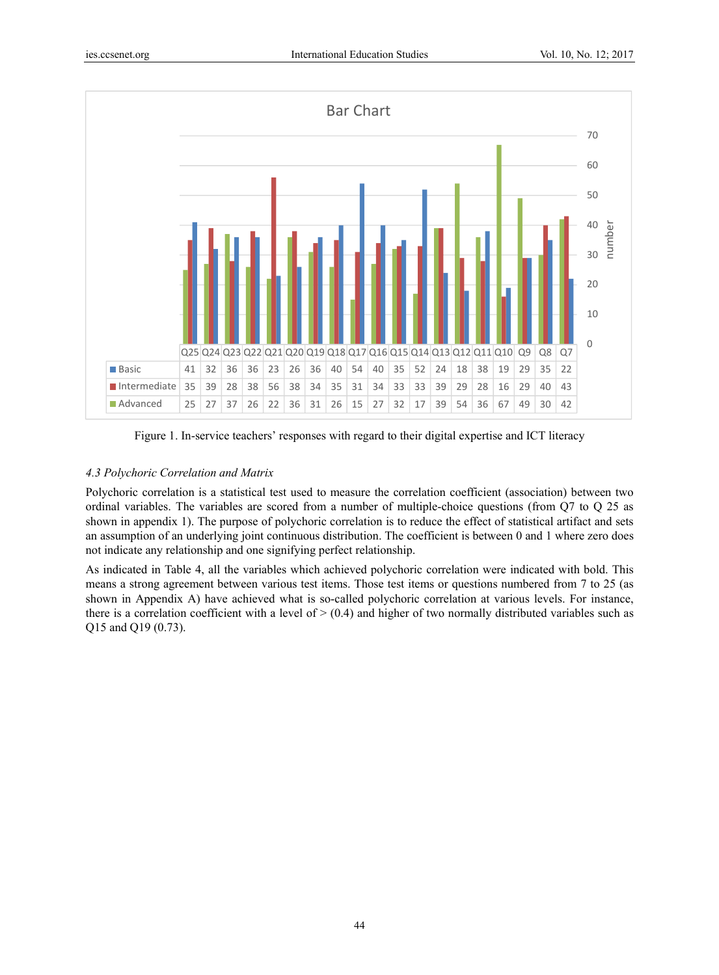

Figure 1. In-service teachers' responses with regard to their digital expertise and ICT literacy

## *4.3 Polychoric Correlation and Matrix*

Polychoric correlation is a statistical test used to measure the correlation coefficient (association) between two ordinal variables. The variables are scored from a number of multiple-choice questions (from Q7 to Q 25 as shown in appendix 1). The purpose of polychoric correlation is to reduce the effect of statistical artifact and sets an assumption of an underlying joint continuous distribution. The coefficient is between 0 and 1 where zero does not indicate any relationship and one signifying perfect relationship.

As indicated in Table 4, all the variables which achieved polychoric correlation were indicated with bold. This means a strong agreement between various test items. Those test items or questions numbered from 7 to 25 (as shown in Appendix A) have achieved what is so-called polychoric correlation at various levels. For instance, there is a correlation coefficient with a level of  $>$  (0.4) and higher of two normally distributed variables such as Q15 and Q19 (0.73).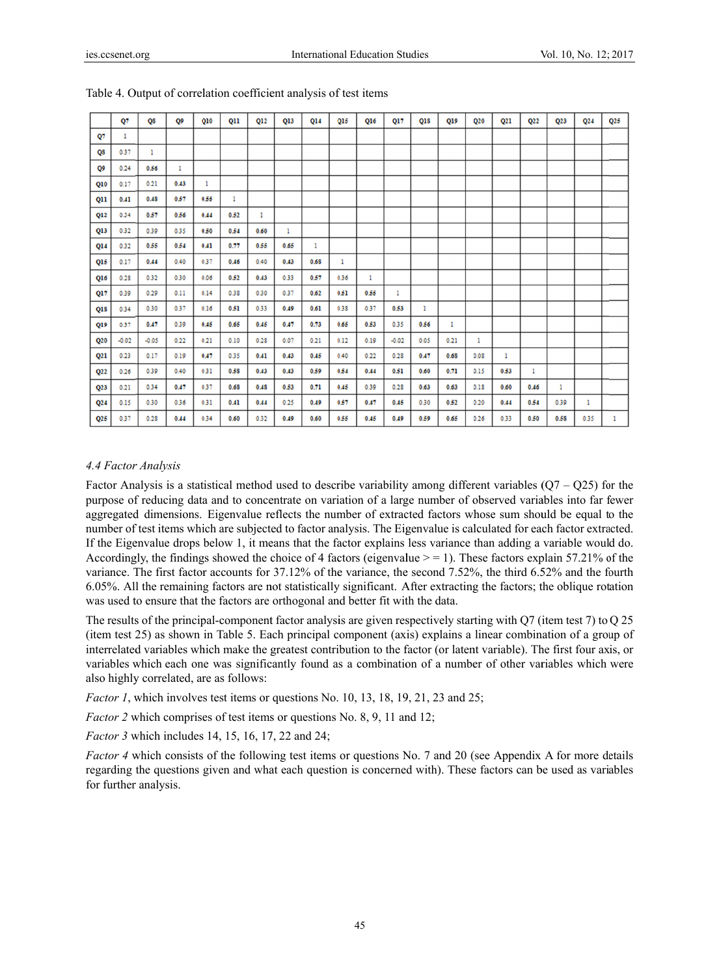|                 | Q7      | QS      | Q9   | Q10  | Q11  | Q12  | Q13  | Q14  | 015  | Q16  | Q17     | Q18  | Q19  | Q20  | Q <sub>21</sub> | Q <sub>22</sub> | Q <sub>23</sub> | Q <sub>24</sub> | Q25 |
|-----------------|---------|---------|------|------|------|------|------|------|------|------|---------|------|------|------|-----------------|-----------------|-----------------|-----------------|-----|
| Q7              | 1       |         |      |      |      |      |      |      |      |      |         |      |      |      |                 |                 |                 |                 |     |
| QS              | 0.37    | 1       |      |      |      |      |      |      |      |      |         |      |      |      |                 |                 |                 |                 |     |
| Q9              | 0.24    | 0.56    | 1    |      |      |      |      |      |      |      |         |      |      |      |                 |                 |                 |                 |     |
| Q10             | 0.17    | 0.21    | 0.43 | 1    |      |      |      |      |      |      |         |      |      |      |                 |                 |                 |                 |     |
| Q11             | 0.41    | 0.48    | 0.57 | 0.55 | 1    |      |      |      |      |      |         |      |      |      |                 |                 |                 |                 |     |
| Q12             | 0.34    | 0.57    | 0.56 | 0.44 | 0.52 | 1    |      |      |      |      |         |      |      |      |                 |                 |                 |                 |     |
| Q13             | 0.32    | 0.39    | 0.35 | 0.50 | 0.54 | 0.60 | 1    |      |      |      |         |      |      |      |                 |                 |                 |                 |     |
| Q14             | 0.32    | 0.55    | 0.54 | 0.41 | 0.77 | 0.55 | 0.65 | 1    |      |      |         |      |      |      |                 |                 |                 |                 |     |
| Q15             | 0.17    | 0.44    | 0.40 | 0.37 | 0.46 | 0.40 | 0.43 | 0.68 | 1    |      |         |      |      |      |                 |                 |                 |                 |     |
| Q16             | 0.28    | 0.32    | 0.30 | 0.06 | 0.52 | 0.43 | 0.33 | 0.57 | 0.36 | ı    |         |      |      |      |                 |                 |                 |                 |     |
| Q17             | 0.39    | 0.29    | 0.11 | 0.14 | 0.38 | 0.30 | 0.37 | 0.62 | 0.51 | 0.55 | 1       |      |      |      |                 |                 |                 |                 |     |
| Q18             | 0.34    | 0.30    | 0.37 | 0.16 | 0.51 | 0.33 | 0.49 | 0.61 | 0.38 | 0.37 | 0.53    | 1    |      |      |                 |                 |                 |                 |     |
| Q19             | 0.37    | 0.47    | 0.39 | 0.45 | 0.65 | 0.45 | 0.47 | 0.73 | 0.65 | 0.53 | 0.35    | 0.56 | 1    |      |                 |                 |                 |                 |     |
| Q20             | $-0.02$ | $-0.05$ | 0.22 | 0.21 | 0.10 | 0.28 | 0.07 | 0.21 | 0.12 | 0.19 | $-0.02$ | 0.05 | 0.21 | 1    |                 |                 |                 |                 |     |
| Q <sub>21</sub> | 0.23    | 0.17    | 0.19 | 0.47 | 0.35 | 0.41 | 0.43 | 0.45 | 0.40 | 0.22 | 0.28    | 0.47 | 0.68 | 0.08 | 1.              |                 |                 |                 |     |
| Q <sub>22</sub> | 0.26    | 0.39    | 0.40 | 0.31 | 0.58 | 0.43 | 0.43 | 0.59 | 0.54 | 0.44 | 0.51    | 0.60 | 0.71 | 0.15 | 0.53            | 1               |                 |                 |     |
| Q <sub>23</sub> | 0.21    | 0.34    | 0.47 | 0.37 | 0.68 | 0.48 | 0.53 | 0.71 | 0.45 | 0.39 | 0.28    | 0.63 | 0.63 | 0.18 | 0.60            | 0.46            | 1               |                 |     |
| Q <sub>24</sub> | 0.15    | 0.30    | 0.36 | 0.31 | 0.41 | 0.44 | 0.25 | 0.49 | 0.57 | 0.47 | 0.45    | 0.30 | 0.52 | 0.20 | 0.44            | 0.54            | 0.39            | 1               |     |
| Q25             | 0.37    | 0.28    | 0.44 | 0.34 | 0.60 | 0.32 | 0.49 | 0.60 | 0.55 | 0.45 | 0.49    | 0.59 | 0.65 | 0.26 | 0.33            | 0.50            | 0.58            | 0.35            | 1   |

## 4.4 Factor Analysis

Factor Analysis is a statistical method used to describe variability among different variables  $(Q7 - Q25)$  for the purpose of reducing data and to concentrate on variation of a large number of observed variables into far fewer aggregated dimensions. Eigenvalue reflects the number of extracted factors whose sum should be equal to the number of test items which are subjected to factor analysis. The Eigenvalue is calculated for each factor extracted. If the Eigenvalue drops below 1, it means that the factor explains less variance than adding a variable would do. Accordingly, the findings showed the choice of 4 factors (eigenvalue  $\ge$  = 1). These factors explain 57.21% of the variance. The first factor accounts for 37.12% of the variance, the second 7.52%, the third 6.52% and the fourth 6.05%. All the remaining factors are not statistically significant. After extracting the factors; the oblique rotation was used to ensure that the factors are orthogonal and better fit with the data.

The results of the principal-component factor analysis are given respectively starting with  $Q7$  (item test 7) to  $Q$  25 (item test 25) as shown in Table 5. Each principal component (axis) explains a linear combination of a group of interrelated variables which make the greatest contribution to the factor (or latent variable). The first four axis, or variables which each one was significantly found as a combination of a number of other variables which were also highly correlated, are as follows:

*Factor 1*, which involves test items or questions No. 10, 13, 18, 19, 21, 23 and 25;

*Factor 2* which comprises of test items or questions No. 8, 9, 11 and 12;

*Factor 3* which includes 14, 15, 16, 17, 22 and 24;

*Factor 4* which consists of the following test items or questions No. 7 and 20 (see Appendix A for more details regarding the questions given and what each question is concerned with). These factors can be used as variables for further analysis.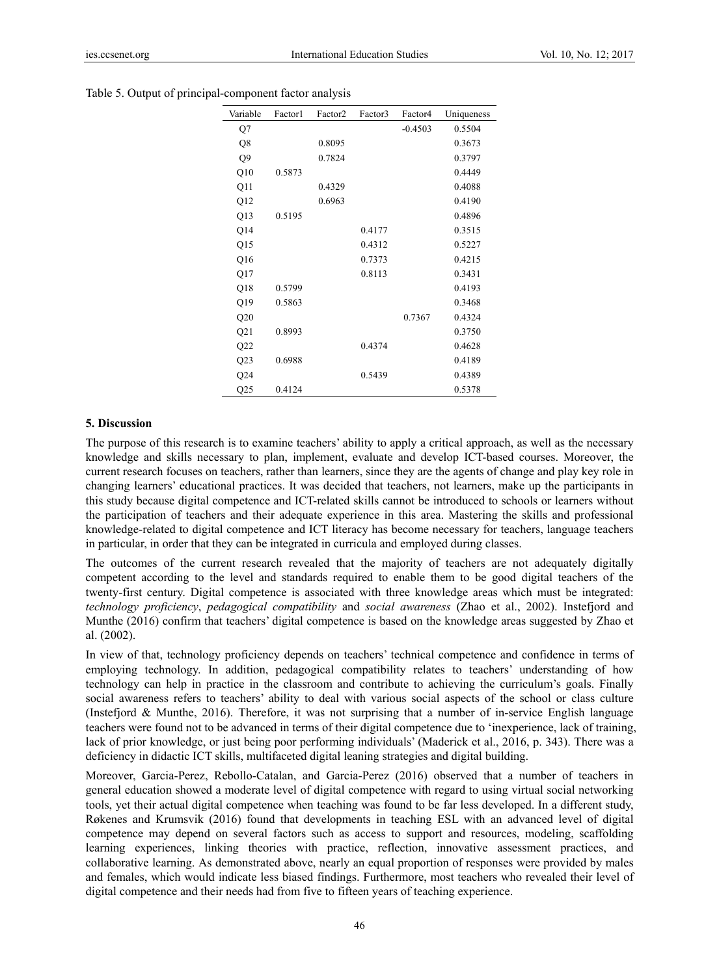| Variable       | Factor1 | Factor <sub>2</sub> | Factor3 | Factor4   | Uniqueness |
|----------------|---------|---------------------|---------|-----------|------------|
| Q7             |         |                     |         | $-0.4503$ | 0.5504     |
| Q8             |         | 0.8095              |         |           | 0.3673     |
| Q <sub>9</sub> |         | 0.7824              |         |           | 0.3797     |
| Q10            | 0.5873  |                     |         |           | 0.4449     |
| Q11            |         | 0.4329              |         |           | 0.4088     |
| Q12            |         | 0.6963              |         |           | 0.4190     |
| Q13            | 0.5195  |                     |         |           | 0.4896     |
| Q14            |         |                     | 0.4177  |           | 0.3515     |
| Q15            |         |                     | 0.4312  |           | 0.5227     |
| Q16            |         |                     | 0.7373  |           | 0.4215     |
| Q17            |         |                     | 0.8113  |           | 0.3431     |
| Q18            | 0.5799  |                     |         |           | 0.4193     |
| Q19            | 0.5863  |                     |         |           | 0.3468     |
| Q20            |         |                     |         | 0.7367    | 0.4324     |
| Q21            | 0.8993  |                     |         |           | 0.3750     |
| Q22            |         |                     | 0.4374  |           | 0.4628     |
| Q23            | 0.6988  |                     |         |           | 0.4189     |
| Q24            |         |                     | 0.5439  |           | 0.4389     |
| Q25            | 0.4124  |                     |         |           | 0.5378     |

Table 5. Output of principal-component factor analysis

## **5. Discussion**

The purpose of this research is to examine teachers' ability to apply a critical approach, as well as the necessary knowledge and skills necessary to plan, implement, evaluate and develop ICT-based courses. Moreover, the current research focuses on teachers, rather than learners, since they are the agents of change and play key role in changing learners' educational practices. It was decided that teachers, not learners, make up the participants in this study because digital competence and ICT-related skills cannot be introduced to schools or learners without the participation of teachers and their adequate experience in this area. Mastering the skills and professional knowledge-related to digital competence and ICT literacy has become necessary for teachers, language teachers in particular, in order that they can be integrated in curricula and employed during classes.

The outcomes of the current research revealed that the majority of teachers are not adequately digitally competent according to the level and standards required to enable them to be good digital teachers of the twenty-first century. Digital competence is associated with three knowledge areas which must be integrated: *technology proficiency*, *pedagogical compatibility* and *social awareness* (Zhao et al., 2002). Instefjord and Munthe (2016) confirm that teachers' digital competence is based on the knowledge areas suggested by Zhao et al. (2002).

In view of that, technology proficiency depends on teachers' technical competence and confidence in terms of employing technology. In addition, pedagogical compatibility relates to teachers' understanding of how technology can help in practice in the classroom and contribute to achieving the curriculum's goals. Finally social awareness refers to teachers' ability to deal with various social aspects of the school or class culture (Instefjord & Munthe, 2016). Therefore, it was not surprising that a number of in-service English language teachers were found not to be advanced in terms of their digital competence due to 'inexperience, lack of training, lack of prior knowledge, or just being poor performing individuals' (Maderick et al., 2016, p. 343). There was a deficiency in didactic ICT skills, multifaceted digital leaning strategies and digital building.

Moreover, Garcia-Perez, Rebollo-Catalan, and Garcia-Perez (2016) observed that a number of teachers in general education showed a moderate level of digital competence with regard to using virtual social networking tools, yet their actual digital competence when teaching was found to be far less developed. In a different study, Røkenes and Krumsvik (2016) found that developments in teaching ESL with an advanced level of digital competence may depend on several factors such as access to support and resources, modeling, scaffolding learning experiences, linking theories with practice, reflection, innovative assessment practices, and collaborative learning. As demonstrated above, nearly an equal proportion of responses were provided by males and females, which would indicate less biased findings. Furthermore, most teachers who revealed their level of digital competence and their needs had from five to fifteen years of teaching experience.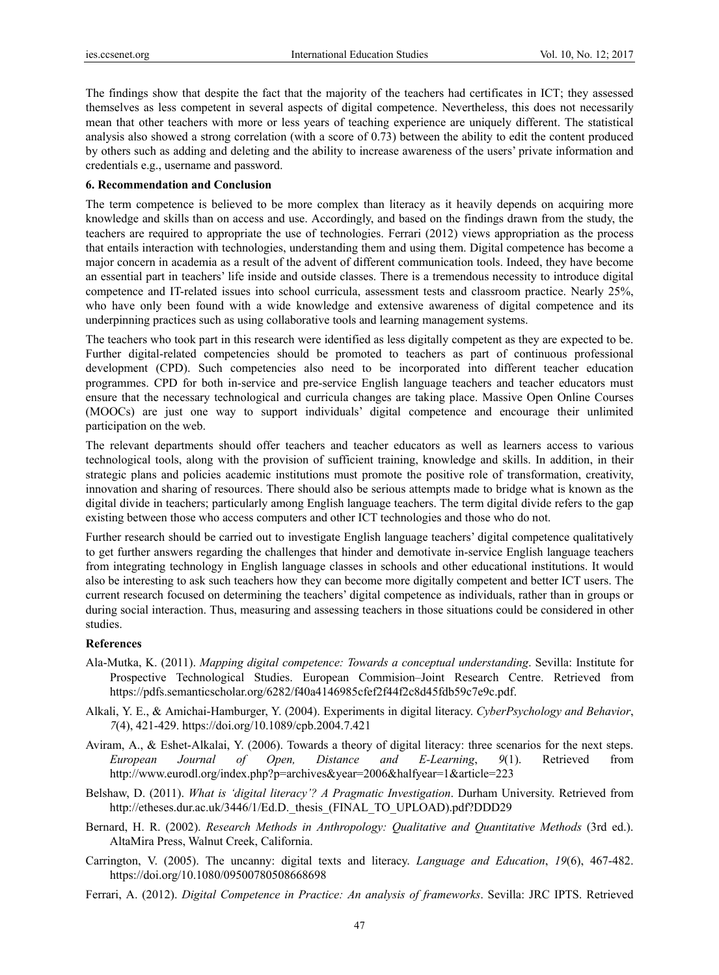The findings show that despite the fact that the majority of the teachers had certificates in ICT; they assessed themselves as less competent in several aspects of digital competence. Nevertheless, this does not necessarily mean that other teachers with more or less years of teaching experience are uniquely different. The statistical analysis also showed a strong correlation (with a score of 0.73) between the ability to edit the content produced by others such as adding and deleting and the ability to increase awareness of the users' private information and credentials e.g., username and password.

#### **6. Recommendation and Conclusion**

The term competence is believed to be more complex than literacy as it heavily depends on acquiring more knowledge and skills than on access and use. Accordingly, and based on the findings drawn from the study, the teachers are required to appropriate the use of technologies. Ferrari (2012) views appropriation as the process that entails interaction with technologies, understanding them and using them. Digital competence has become a major concern in academia as a result of the advent of different communication tools. Indeed, they have become an essential part in teachers' life inside and outside classes. There is a tremendous necessity to introduce digital competence and IT-related issues into school curricula, assessment tests and classroom practice. Nearly 25%, who have only been found with a wide knowledge and extensive awareness of digital competence and its underpinning practices such as using collaborative tools and learning management systems.

The teachers who took part in this research were identified as less digitally competent as they are expected to be. Further digital-related competencies should be promoted to teachers as part of continuous professional development (CPD). Such competencies also need to be incorporated into different teacher education programmes. CPD for both in-service and pre-service English language teachers and teacher educators must ensure that the necessary technological and curricula changes are taking place. Massive Open Online Courses (MOOCs) are just one way to support individuals' digital competence and encourage their unlimited participation on the web.

The relevant departments should offer teachers and teacher educators as well as learners access to various technological tools, along with the provision of sufficient training, knowledge and skills. In addition, in their strategic plans and policies academic institutions must promote the positive role of transformation, creativity, innovation and sharing of resources. There should also be serious attempts made to bridge what is known as the digital divide in teachers; particularly among English language teachers. The term digital divide refers to the gap existing between those who access computers and other ICT technologies and those who do not.

Further research should be carried out to investigate English language teachers' digital competence qualitatively to get further answers regarding the challenges that hinder and demotivate in-service English language teachers from integrating technology in English language classes in schools and other educational institutions. It would also be interesting to ask such teachers how they can become more digitally competent and better ICT users. The current research focused on determining the teachers' digital competence as individuals, rather than in groups or during social interaction. Thus, measuring and assessing teachers in those situations could be considered in other studies.

#### **References**

- Ala-Mutka, K. (2011). *Mapping digital competence: Towards a conceptual understanding*. Sevilla: Institute for Prospective Technological Studies. European Commision–Joint Research Centre. Retrieved from https://pdfs.semanticscholar.org/6282/f40a4146985cfef2f44f2c8d45fdb59c7e9c.pdf.
- Alkali, Y. E., & Amichai-Hamburger, Y. (2004). Experiments in digital literacy. *CyberPsychology and Behavior*, *7*(4), 421-429. https://doi.org/10.1089/cpb.2004.7.421
- Aviram, A., & Eshet-Alkalai, Y. (2006). Towards a theory of digital literacy: three scenarios for the next steps. *European Journal of Open, Distance and E-Learning*, *9*(1). Retrieved from http://www.eurodl.org/index.php?p=archives&year=2006&halfyear=1&article=223
- Belshaw, D. (2011). *What is 'digital literacy'? A Pragmatic Investigation*. Durham University. Retrieved from http://etheses.dur.ac.uk/3446/1/Ed.D. thesis (FINAL\_TO\_UPLOAD).pdf?DDD29
- Bernard, H. R. (2002). *Research Methods in Anthropology: Qualitative and Quantitative Methods* (3rd ed.). AltaMira Press, Walnut Creek, California.
- Carrington, V. (2005). The uncanny: digital texts and literacy. *Language and Education*, *19*(6), 467-482. https://doi.org/10.1080/09500780508668698
- Ferrari, A. (2012). *Digital Competence in Practice: An analysis of frameworks*. Sevilla: JRC IPTS. Retrieved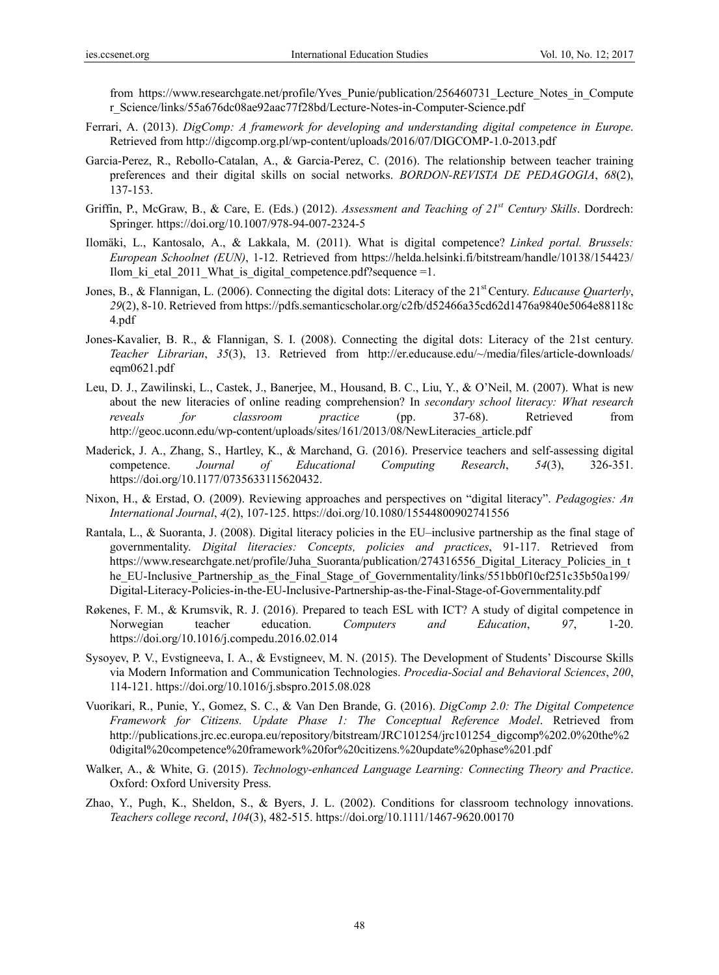from https://www.researchgate.net/profile/Yves Punie/publication/256460731 Lecture Notes in Compute r\_Science/links/55a676dc08ae92aac77f28bd/Lecture-Notes-in-Computer-Science.pdf

- Ferrari, A. (2013). *DigComp: A framework for developing and understanding digital competence in Europe*. Retrieved from http://digcomp.org.pl/wp-content/uploads/2016/07/DIGCOMP-1.0-2013.pdf
- Garcia-Perez, R., Rebollo-Catalan, A., & Garcia-Perez, C. (2016). The relationship between teacher training preferences and their digital skills on social networks. *BORDON-REVISTA DE PEDAGOGIA*, *68*(2), 137-153.
- Griffin, P., McGraw, B., & Care, E. (Eds.) (2012). *Assessment and Teaching of 21<sup>st</sup> Century Skills*. Dordrech: Springer. https://doi.org/10.1007/978-94-007-2324-5
- Ilomäki, L., Kantosalo, A., & Lakkala, M. (2011). What is digital competence? *Linked portal. Brussels: European Schoolnet (EUN)*, 1-12. Retrieved from https://helda.helsinki.fi/bitstream/handle/10138/154423/ Ilom ki etal 2011 What is digital competence.pdf?sequence =1.
- Jones, B., & Flannigan, L. (2006). Connecting the digital dots: Literacy of the 21st Century. *Educause Quarterly*, *29*(2), 8-10. Retrieved from https://pdfs.semanticscholar.org/c2fb/d52466a35cd62d1476a9840e5064e88118c 4.pdf
- Jones-Kavalier, B. R., & Flannigan, S. I. (2008). Connecting the digital dots: Literacy of the 21st century. *Teacher Librarian*, *35*(3), 13. Retrieved from http://er.educause.edu/~/media/files/article-downloads/ eqm0621.pdf
- Leu, D. J., Zawilinski, L., Castek, J., Banerjee, M., Housand, B. C., Liu, Y., & O'Neil, M. (2007). What is new about the new literacies of online reading comprehension? In *secondary school literacy: What research reveals for classroom practice* (pp. 37-68). Retrieved from http://geoc.uconn.edu/wp-content/uploads/sites/161/2013/08/NewLiteracies\_article.pdf
- Maderick, J. A., Zhang, S., Hartley, K., & Marchand, G. (2016). Preservice teachers and self-assessing digital competence. *Journal of Educational Computing Research*, *54*(3), 326-351. https://doi.org/10.1177/0735633115620432.
- Nixon, H., & Erstad, O. (2009). Reviewing approaches and perspectives on "digital literacy". *Pedagogies: An International Journal*, *4*(2), 107-125. https://doi.org/10.1080/15544800902741556
- Rantala, L., & Suoranta, J. (2008). Digital literacy policies in the EU–inclusive partnership as the final stage of governmentality. *Digital literacies: Concepts, policies and practices*, 91-117. Retrieved from https://www.researchgate.net/profile/Juha\_Suoranta/publication/274316556\_Digital\_Literacy\_Policies\_in\_t he\_EU-Inclusive\_Partnership\_as\_the\_Final\_Stage\_of\_Governmentality/links/551bb0f10cf251c35b50a199/ Digital-Literacy-Policies-in-the-EU-Inclusive-Partnership-as-the-Final-Stage-of-Governmentality.pdf
- Røkenes, F. M., & Krumsvik, R. J. (2016). Prepared to teach ESL with ICT? A study of digital competence in Norwegian teacher education. *Computers and Education*, *97*, 1-20. https://doi.org/10.1016/j.compedu.2016.02.014
- Sysoyev, P. V., Evstigneeva, I. A., & Evstigneev, M. N. (2015). The Development of Students' Discourse Skills via Modern Information and Communication Technologies. *Procedia-Social and Behavioral Sciences*, *200*, 114-121. https://doi.org/10.1016/j.sbspro.2015.08.028
- Vuorikari, R., Punie, Y., Gomez, S. C., & Van Den Brande, G. (2016). *DigComp 2.0: The Digital Competence Framework for Citizens. Update Phase 1: The Conceptual Reference Model*. Retrieved from http://publications.jrc.ec.europa.eu/repository/bitstream/JRC101254/jrc101254\_digcomp%202.0%20the%2 0digital%20competence%20framework%20for%20citizens.%20update%20phase%201.pdf
- Walker, A., & White, G. (2015). *Technology-enhanced Language Learning: Connecting Theory and Practice*. Oxford: Oxford University Press.
- Zhao, Y., Pugh, K., Sheldon, S., & Byers, J. L. (2002). Conditions for classroom technology innovations. *Teachers college record*, *104*(3), 482-515. https://doi.org/10.1111/1467-9620.00170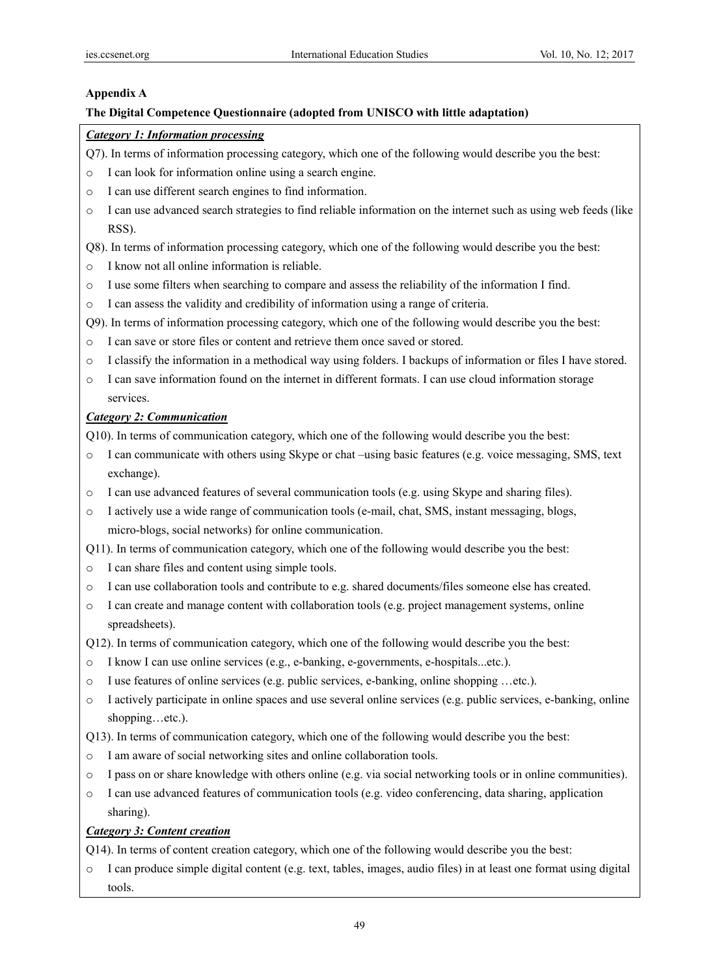## **Appendix A**

## **The Digital Competence Questionnaire (adopted from UNISCO with little adaptation)**

# *Category 1: Information processing*

- Q7). In terms of information processing category, which one of the following would describe you the best:
- o I can look for information online using a search engine.
- o I can use different search engines to find information.
- $\circ$  I can use advanced search strategies to find reliable information on the internet such as using web feeds (like RSS).

Q8). In terms of information processing category, which one of the following would describe you the best:

- o I know not all online information is reliable.
- o I use some filters when searching to compare and assess the reliability of the information I find.
- o I can assess the validity and credibility of information using a range of criteria.
- Q9). In terms of information processing category, which one of the following would describe you the best:
- o I can save or store files or content and retrieve them once saved or stored.
- o I classify the information in a methodical way using folders. I backups of information or files I have stored.
- o Ι can save information found on the internet in different formats. I can use cloud information storage services.

## *Category 2: Communication*

Q10). In terms of communication category, which one of the following would describe you the best:

- o I can communicate with others using Skype or chat –using basic features (e.g. voice messaging, SMS, text exchange).
- o I can use advanced features of several communication tools (e.g. using Skype and sharing files).
- o I actively use a wide range of communication tools (e-mail, chat, SMS, instant messaging, blogs, micro-blogs, social networks) for online communication.

Q11). In terms of communication category, which one of the following would describe you the best:

- o I can share files and content using simple tools.
- o I can use collaboration tools and contribute to e.g. shared documents/files someone else has created.
- o I can create and manage content with collaboration tools (e.g. project management systems, online spreadsheets).

Q12). In terms of communication category, which one of the following would describe you the best:

- o I know I can use online services (e.g., e-banking, e-governments, e-hospitals...etc.).
- o I use features of online services (e.g. public services, e-banking, online shopping …etc.).
- o I actively participate in online spaces and use several online services (e.g. public services, e-banking, online shopping…etc.).
- Q13). In terms of communication category, which one of the following would describe you the best:
- o I am aware of social networking sites and online collaboration tools.
- o I pass on or share knowledge with others online (e.g. via social networking tools or in online communities).
- $\circ$  I can use advanced features of communication tools (e.g. video conferencing, data sharing, application sharing).

## *Category 3: Content creation*

- Q14). In terms of content creation category, which one of the following would describe you the best:
- o I can produce simple digital content (e.g. text, tables, images, audio files) in at least one format using digital tools.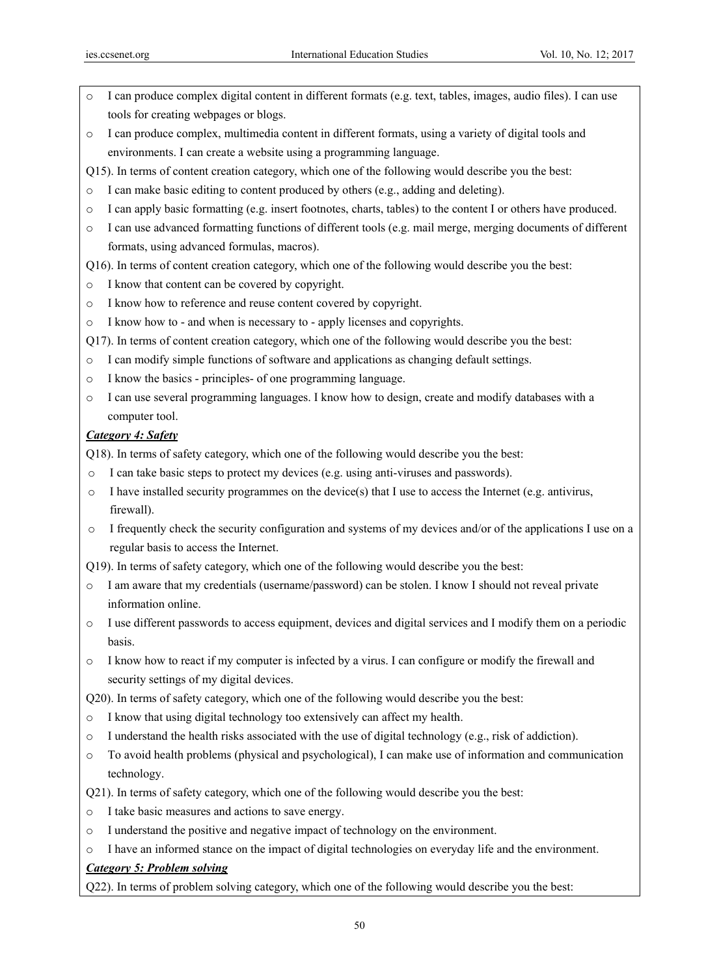- I can produce complex digital content in different formats (e.g. text, tables, images, audio files). I can use tools for creating webpages or blogs.
- o I can produce complex, multimedia content in different formats, using a variety of digital tools and environments. I can create a website using a programming language.
- Q15). In terms of content creation category, which one of the following would describe you the best:
- o I can make basic editing to content produced by others (e.g., adding and deleting).
- o I can apply basic formatting (e.g. insert footnotes, charts, tables) to the content I or others have produced.
- $\circ$  I can use advanced formatting functions of different tools (e.g. mail merge, merging documents of different formats, using advanced formulas, macros).
- Q16). In terms of content creation category, which one of the following would describe you the best:
- o I know that content can be covered by copyright.
- o I know how to reference and reuse content covered by copyright.
- o I know how to and when is necessary to apply licenses and copyrights.
- Q17). In terms of content creation category, which one of the following would describe you the best:
- o I can modify simple functions of software and applications as changing default settings.
- o I know the basics principles- of one programming language.
- o I can use several programming languages. I know how to design, create and modify databases with a computer tool.

## *Category 4: Safety*

Q18). In terms of safety category, which one of the following would describe you the best:

- o I can take basic steps to protect my devices (e.g. using anti-viruses and passwords).
- $\circ$  I have installed security programmes on the device(s) that I use to access the Internet (e.g. antivirus, firewall).
- o I frequently check the security configuration and systems of my devices and/or of the applications I use on a regular basis to access the Internet.
- Q19). In terms of safety category, which one of the following would describe you the best:
- o I am aware that my credentials (username/password) can be stolen. I know I should not reveal private information online.
- o I use different passwords to access equipment, devices and digital services and I modify them on a periodic basis.
- o I know how to react if my computer is infected by a virus. I can configure or modify the firewall and security settings of my digital devices.
- Q20). In terms of safety category, which one of the following would describe you the best:
- o I know that using digital technology too extensively can affect my health.
- $\circ$  I understand the health risks associated with the use of digital technology (e.g., risk of addiction).
- $\circ$  To avoid health problems (physical and psychological), I can make use of information and communication technology.
- Q21). In terms of safety category, which one of the following would describe you the best:
- o I take basic measures and actions to save energy.
- o I understand the positive and negative impact of technology on the environment.
- o I have an informed stance on the impact of digital technologies on everyday life and the environment.

# *Category 5: Problem solving*

Q22). In terms of problem solving category, which one of the following would describe you the best: